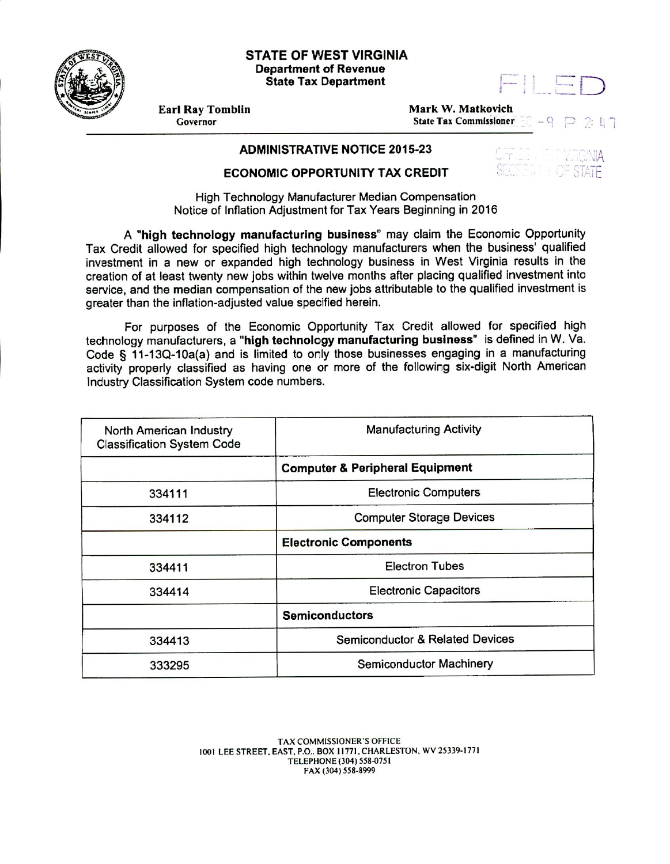## **STATE OF WEST VIRGINIA Department of Revenue State Tax Department**



**Earl Ray Tomblin**<br>
Governor<br>
Governor<br>
Governor<br> **Mark W. Matkovich State Tax Commissioner**  $-9$  $2:17$ 

## **ADMINISTRATIVE NOTICE 2015-23**

## **ECONOMIC OPPORTUNITY TAX CREDIT**

High Technology Manufacturer Median Compensation Notice of Inflation Adjustment for Tax Years Beginning in 2016

A **"high technology manufacturing business"** may claim the Economic Opportunity Tax Credit allowed for specified high technology manufacturers when the business' qualified investment in a new or expanded high technology business in West Virginia results in the creation of at least twenty new jobs within twelve months after placing qualified investment into service, and the median compensation of the new jobs attributable to the qualified investment is greater than the inflation-adjusted value specified herein.

For purposes of the Economic Opportunity Tax Credit allowed for specified high technology manufacturers, a **'high technology manufacturing business"** is defined in W. Va. Code § 11-13Q-10a(a) and is limited to orly those businesses engaging in a manufacturing activity properly classified as having one or more of the following six-digit North American Industry Classification System code numbers.

| North American Industry<br><b>Classification System Code</b> | <b>Manufacturing Activity</b>              |
|--------------------------------------------------------------|--------------------------------------------|
|                                                              | <b>Computer &amp; Peripheral Equipment</b> |
| 334111                                                       | <b>Electronic Computers</b>                |
| 334112                                                       | <b>Computer Storage Devices</b>            |
|                                                              | <b>Electronic Components</b>               |
| 334411                                                       | <b>Electron Tubes</b>                      |
| 334414                                                       | <b>Electronic Capacitors</b>               |
|                                                              | <b>Semiconductors</b>                      |
| 334413                                                       | <b>Semiconductor &amp; Related Devices</b> |
| 333295                                                       | Semiconductor Machinery                    |

TAX COMMISSIONER'S OFFICE 1001 LEE STREET. EAST, P.O.. BOX 11771, CHARLESTON, WV 25339-1771 TELEPHONE (304) 558-0751 FAX (304) 558-8999